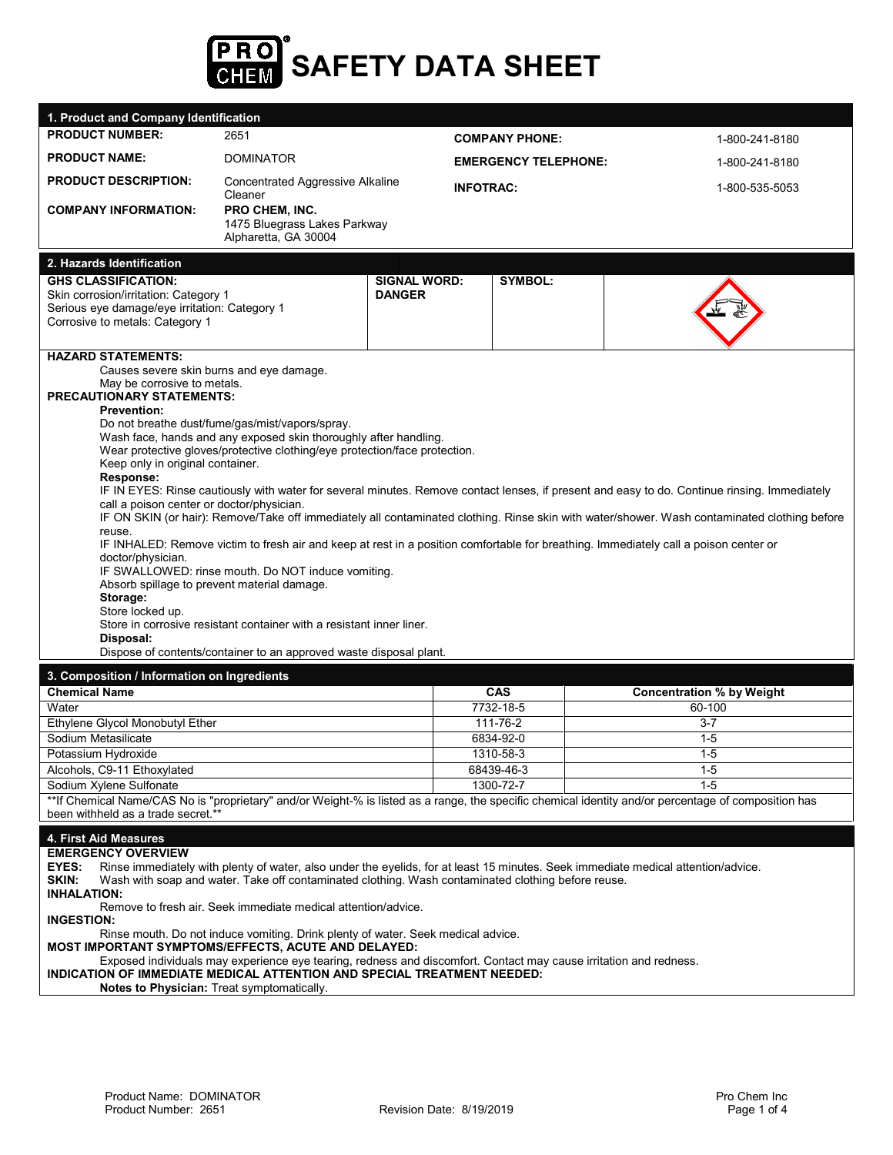

| 1. Product and Company Identification                                                                                 |                                                                                                                                              |                       |                             |                                                                                                                                                      |  |  |
|-----------------------------------------------------------------------------------------------------------------------|----------------------------------------------------------------------------------------------------------------------------------------------|-----------------------|-----------------------------|------------------------------------------------------------------------------------------------------------------------------------------------------|--|--|
| <b>PRODUCT NUMBER:</b>                                                                                                | 2651                                                                                                                                         | <b>COMPANY PHONE:</b> |                             | 1-800-241-8180                                                                                                                                       |  |  |
| <b>PRODUCT NAME:</b>                                                                                                  | <b>DOMINATOR</b>                                                                                                                             |                       | <b>EMERGENCY TELEPHONE:</b> | 1-800-241-8180                                                                                                                                       |  |  |
| <b>PRODUCT DESCRIPTION:</b>                                                                                           | <b>Concentrated Aggressive Alkaline</b><br>Cleaner                                                                                           | <b>INFOTRAC:</b>      |                             | 1-800-535-5053                                                                                                                                       |  |  |
| <b>COMPANY INFORMATION:</b>                                                                                           | PRO CHEM, INC.                                                                                                                               |                       |                             |                                                                                                                                                      |  |  |
|                                                                                                                       | 1475 Bluegrass Lakes Parkway                                                                                                                 |                       |                             |                                                                                                                                                      |  |  |
|                                                                                                                       | Alpharetta, GA 30004                                                                                                                         |                       |                             |                                                                                                                                                      |  |  |
| 2. Hazards Identification                                                                                             |                                                                                                                                              |                       |                             |                                                                                                                                                      |  |  |
| <b>GHS CLASSIFICATION:</b>                                                                                            |                                                                                                                                              | <b>SIGNAL WORD:</b>   | <b>SYMBOL:</b>              |                                                                                                                                                      |  |  |
| Skin corrosion/irritation: Category 1                                                                                 |                                                                                                                                              | <b>DANGER</b>         |                             |                                                                                                                                                      |  |  |
| Serious eye damage/eye irritation: Category 1<br>Corrosive to metals: Category 1                                      |                                                                                                                                              |                       |                             |                                                                                                                                                      |  |  |
|                                                                                                                       |                                                                                                                                              |                       |                             |                                                                                                                                                      |  |  |
| <b>HAZARD STATEMENTS:</b>                                                                                             |                                                                                                                                              |                       |                             |                                                                                                                                                      |  |  |
| Causes severe skin burns and eye damage.                                                                              |                                                                                                                                              |                       |                             |                                                                                                                                                      |  |  |
| May be corrosive to metals.                                                                                           |                                                                                                                                              |                       |                             |                                                                                                                                                      |  |  |
| <b>PRECAUTIONARY STATEMENTS:</b>                                                                                      |                                                                                                                                              |                       |                             |                                                                                                                                                      |  |  |
| <b>Prevention:</b>                                                                                                    | Do not breathe dust/fume/gas/mist/vapors/spray.                                                                                              |                       |                             |                                                                                                                                                      |  |  |
|                                                                                                                       | Wash face, hands and any exposed skin thoroughly after handling.                                                                             |                       |                             |                                                                                                                                                      |  |  |
|                                                                                                                       | Wear protective gloves/protective clothing/eye protection/face protection.                                                                   |                       |                             |                                                                                                                                                      |  |  |
| Keep only in original container.                                                                                      |                                                                                                                                              |                       |                             |                                                                                                                                                      |  |  |
| Response:                                                                                                             |                                                                                                                                              |                       |                             | IF IN EYES: Rinse cautiously with water for several minutes. Remove contact lenses, if present and easy to do. Continue rinsing. Immediately         |  |  |
| call a poison center or doctor/physician.                                                                             |                                                                                                                                              |                       |                             |                                                                                                                                                      |  |  |
|                                                                                                                       | IF ON SKIN (or hair): Remove/Take off immediately all contaminated clothing. Rinse skin with water/shower. Wash contaminated clothing before |                       |                             |                                                                                                                                                      |  |  |
| reuse.                                                                                                                |                                                                                                                                              |                       |                             | IF INHALED: Remove victim to fresh air and keep at rest in a position comfortable for breathing. Immediately call a poison center or                 |  |  |
| doctor/physician.                                                                                                     |                                                                                                                                              |                       |                             |                                                                                                                                                      |  |  |
|                                                                                                                       | IF SWALLOWED: rinse mouth. Do NOT induce vomiting.                                                                                           |                       |                             |                                                                                                                                                      |  |  |
| Absorb spillage to prevent material damage.                                                                           |                                                                                                                                              |                       |                             |                                                                                                                                                      |  |  |
| Storage:<br>Store locked up.                                                                                          |                                                                                                                                              |                       |                             |                                                                                                                                                      |  |  |
|                                                                                                                       | Store in corrosive resistant container with a resistant inner liner.                                                                         |                       |                             |                                                                                                                                                      |  |  |
| Disposal:                                                                                                             |                                                                                                                                              |                       |                             |                                                                                                                                                      |  |  |
|                                                                                                                       | Dispose of contents/container to an approved waste disposal plant.                                                                           |                       |                             |                                                                                                                                                      |  |  |
| 3. Composition / Information on Ingredients                                                                           |                                                                                                                                              |                       |                             |                                                                                                                                                      |  |  |
| <b>Chemical Name</b>                                                                                                  |                                                                                                                                              |                       | <b>CAS</b>                  | <b>Concentration % by Weight</b>                                                                                                                     |  |  |
| Water                                                                                                                 |                                                                                                                                              |                       | 7732-18-5                   | 60-100                                                                                                                                               |  |  |
| Ethylene Glycol Monobutyl Ether<br>Sodium Metasilicate                                                                |                                                                                                                                              |                       | 111-76-2<br>6834-92-0       | $3 - 7$                                                                                                                                              |  |  |
| Potassium Hydroxide                                                                                                   |                                                                                                                                              |                       | 1310-58-3                   | $1 - 5$<br>$1 - 5$                                                                                                                                   |  |  |
| Alcohols, C9-11 Ethoxylated                                                                                           |                                                                                                                                              |                       | 68439-46-3                  | $1-5$                                                                                                                                                |  |  |
| Sodium Xylene Sulfonate                                                                                               |                                                                                                                                              |                       |                             |                                                                                                                                                      |  |  |
|                                                                                                                       |                                                                                                                                              |                       |                             |                                                                                                                                                      |  |  |
|                                                                                                                       |                                                                                                                                              |                       | 1300-72-7                   | $1 - 5$                                                                                                                                              |  |  |
| been withheld as a trade secret.**                                                                                    |                                                                                                                                              |                       |                             | **If Chemical Name/CAS No is "proprietary" and/or Weight-% is listed as a range, the specific chemical identity and/or percentage of composition has |  |  |
|                                                                                                                       |                                                                                                                                              |                       |                             |                                                                                                                                                      |  |  |
| 4. First Aid Measures                                                                                                 |                                                                                                                                              |                       |                             |                                                                                                                                                      |  |  |
| <b>EMERGENCY OVERVIEW</b><br>EYES:                                                                                    |                                                                                                                                              |                       |                             | Rinse immediately with plenty of water, also under the eyelids, for at least 15 minutes. Seek immediate medical attention/advice.                    |  |  |
| SKIN:                                                                                                                 | Wash with soap and water. Take off contaminated clothing. Wash contaminated clothing before reuse.                                           |                       |                             |                                                                                                                                                      |  |  |
| <b>INHALATION:</b>                                                                                                    |                                                                                                                                              |                       |                             |                                                                                                                                                      |  |  |
|                                                                                                                       | Remove to fresh air. Seek immediate medical attention/advice.                                                                                |                       |                             |                                                                                                                                                      |  |  |
| <b>INGESTION:</b>                                                                                                     | Rinse mouth. Do not induce vomiting. Drink plenty of water. Seek medical advice.                                                             |                       |                             |                                                                                                                                                      |  |  |
| MOST IMPORTANT SYMPTOMS/EFFECTS, ACUTE AND DELAYED:                                                                   | Exposed individuals may experience eye tearing, redness and discomfort. Contact may cause irritation and redness.                            |                       |                             |                                                                                                                                                      |  |  |
| INDICATION OF IMMEDIATE MEDICAL ATTENTION AND SPECIAL TREATMENT NEEDED:<br>Notes to Physician: Treat symptomatically. |                                                                                                                                              |                       |                             |                                                                                                                                                      |  |  |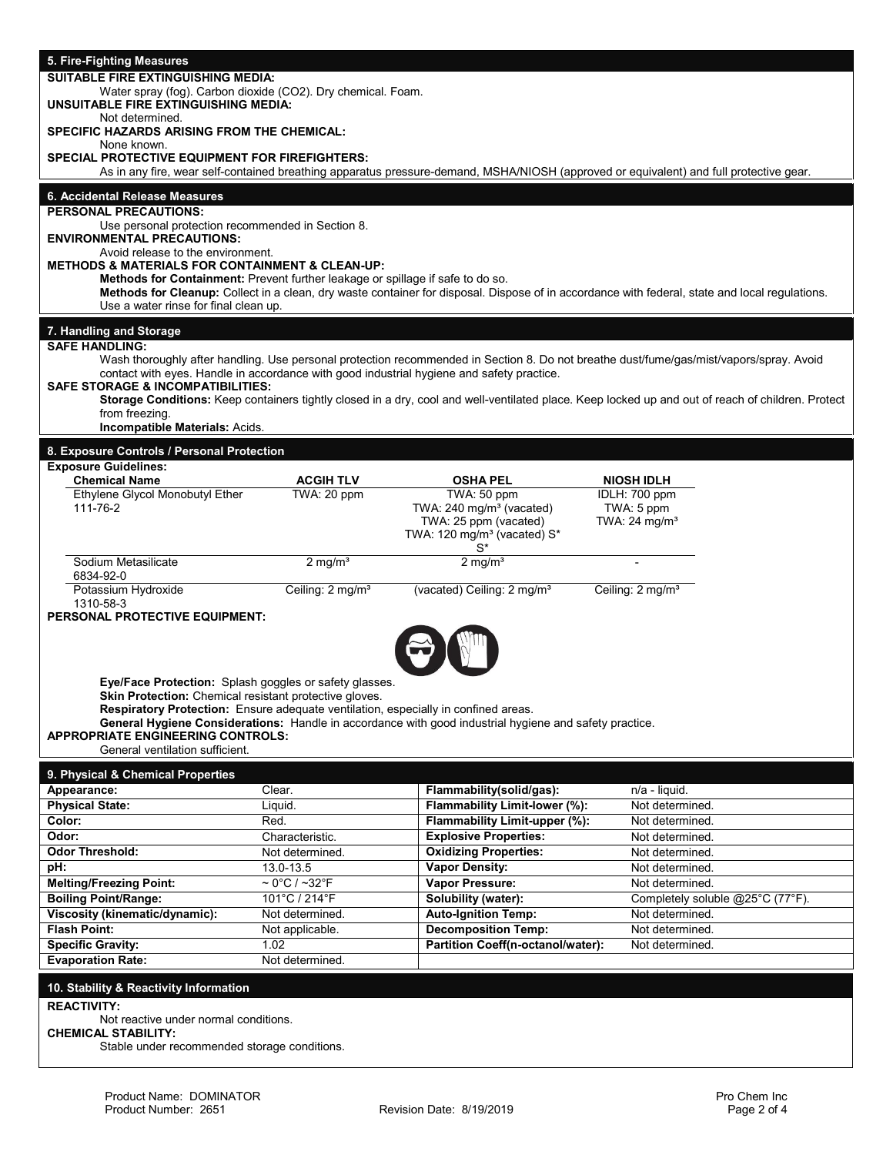| 5. Fire-Fighting Measures                                                                            |                                       |                                                                                                                                                   |                                    |                                  |  |  |
|------------------------------------------------------------------------------------------------------|---------------------------------------|---------------------------------------------------------------------------------------------------------------------------------------------------|------------------------------------|----------------------------------|--|--|
| <b>SUITABLE FIRE EXTINGUISHING MEDIA:</b>                                                            |                                       |                                                                                                                                                   |                                    |                                  |  |  |
| Water spray (fog). Carbon dioxide (CO2). Dry chemical. Foam.<br>UNSUITABLE FIRE EXTINGUISHING MEDIA: |                                       |                                                                                                                                                   |                                    |                                  |  |  |
| Not determined.                                                                                      |                                       |                                                                                                                                                   |                                    |                                  |  |  |
| SPECIFIC HAZARDS ARISING FROM THE CHEMICAL:                                                          |                                       |                                                                                                                                                   |                                    |                                  |  |  |
| None known.<br><b>SPECIAL PROTECTIVE EQUIPMENT FOR FIREFIGHTERS:</b>                                 |                                       |                                                                                                                                                   |                                    |                                  |  |  |
|                                                                                                      |                                       | As in any fire, wear self-contained breathing apparatus pressure-demand, MSHA/NIOSH (approved or equivalent) and full protective gear.            |                                    |                                  |  |  |
| 6. Accidental Release Measures                                                                       |                                       |                                                                                                                                                   |                                    |                                  |  |  |
| <b>PERSONAL PRECAUTIONS:</b>                                                                         |                                       |                                                                                                                                                   |                                    |                                  |  |  |
| Use personal protection recommended in Section 8.                                                    |                                       |                                                                                                                                                   |                                    |                                  |  |  |
| <b>ENVIRONMENTAL PRECAUTIONS:</b><br>Avoid release to the environment.                               |                                       |                                                                                                                                                   |                                    |                                  |  |  |
| <b>METHODS &amp; MATERIALS FOR CONTAINMENT &amp; CLEAN-UP:</b>                                       |                                       |                                                                                                                                                   |                                    |                                  |  |  |
| Methods for Containment: Prevent further leakage or spillage if safe to do so.                       |                                       |                                                                                                                                                   |                                    |                                  |  |  |
| Use a water rinse for final clean up.                                                                |                                       | Methods for Cleanup: Collect in a clean, dry waste container for disposal. Dispose of in accordance with federal, state and local regulations.    |                                    |                                  |  |  |
|                                                                                                      |                                       |                                                                                                                                                   |                                    |                                  |  |  |
| 7. Handling and Storage<br><b>SAFE HANDLING:</b>                                                     |                                       |                                                                                                                                                   |                                    |                                  |  |  |
|                                                                                                      |                                       | Wash thoroughly after handling. Use personal protection recommended in Section 8. Do not breathe dust/fume/gas/mist/vapors/spray. Avoid           |                                    |                                  |  |  |
|                                                                                                      |                                       | contact with eyes. Handle in accordance with good industrial hygiene and safety practice.                                                         |                                    |                                  |  |  |
| <b>SAFE STORAGE &amp; INCOMPATIBILITIES:</b>                                                         |                                       | Storage Conditions: Keep containers tightly closed in a dry, cool and well-ventilated place. Keep locked up and out of reach of children. Protect |                                    |                                  |  |  |
| from freezing.                                                                                       |                                       |                                                                                                                                                   |                                    |                                  |  |  |
| Incompatible Materials: Acids.                                                                       |                                       |                                                                                                                                                   |                                    |                                  |  |  |
| 8. Exposure Controls / Personal Protection                                                           |                                       |                                                                                                                                                   |                                    |                                  |  |  |
| <b>Exposure Guidelines:</b><br><b>Chemical Name</b>                                                  | <b>ACGIH TLV</b>                      | <b>OSHA PEL</b>                                                                                                                                   | <b>NIOSH IDLH</b>                  |                                  |  |  |
| Ethylene Glycol Monobutyl Ether                                                                      | TWA: 20 ppm                           | TWA: 50 ppm                                                                                                                                       | IDLH: 700 ppm                      |                                  |  |  |
| 111-76-2                                                                                             |                                       | TWA: 240 mg/m <sup>3</sup> (vacated)                                                                                                              | TWA: 5 ppm                         |                                  |  |  |
|                                                                                                      |                                       | TWA: 25 ppm (vacated)<br>TWA: 120 mg/m <sup>3</sup> (vacated) S*                                                                                  | TWA: 24 mg/m <sup>3</sup>          |                                  |  |  |
|                                                                                                      |                                       | S*                                                                                                                                                |                                    |                                  |  |  |
| Sodium Metasilicate                                                                                  | $2 \text{ mg/m}^3$                    | $2 \overline{\mathrm{mg}}$ /m <sup>3</sup>                                                                                                        |                                    |                                  |  |  |
| 6834-92-0<br>Potassium Hydroxide                                                                     | Ceiling: 2 mg/m <sup>3</sup>          | (vacated) Ceiling: 2 mg/m <sup>3</sup>                                                                                                            | Ceiling: 2 mg/m <sup>3</sup>       |                                  |  |  |
| 1310-58-3                                                                                            |                                       |                                                                                                                                                   |                                    |                                  |  |  |
| PERSONAL PROTECTIVE EQUIPMENT:                                                                       |                                       |                                                                                                                                                   |                                    |                                  |  |  |
|                                                                                                      |                                       |                                                                                                                                                   |                                    |                                  |  |  |
|                                                                                                      |                                       |                                                                                                                                                   |                                    |                                  |  |  |
| Eye/Face Protection: Splash goggles or safety glasses.                                               |                                       |                                                                                                                                                   |                                    |                                  |  |  |
| Skin Protection: Chemical resistant protective gloves.                                               |                                       |                                                                                                                                                   |                                    |                                  |  |  |
| Respiratory Protection: Ensure adequate ventilation, especially in confined areas.                   |                                       |                                                                                                                                                   |                                    |                                  |  |  |
| <b>APPROPRIATE ENGINEERING CONTROLS:</b>                                                             |                                       | General Hygiene Considerations: Handle in accordance with good industrial hygiene and safety practice.                                            |                                    |                                  |  |  |
| General ventilation sufficient.                                                                      |                                       |                                                                                                                                                   |                                    |                                  |  |  |
| 9. Physical & Chemical Properties                                                                    |                                       |                                                                                                                                                   |                                    |                                  |  |  |
| Appearance:                                                                                          | Clear.                                | Flammability(solid/gas):                                                                                                                          | n/a - liquid.                      |                                  |  |  |
| <b>Physical State:</b>                                                                               | Liquid.                               | Flammability Limit-lower (%):                                                                                                                     | Not determined.                    |                                  |  |  |
| Color:                                                                                               | Red.                                  | Flammability Limit-upper (%):                                                                                                                     | Not determined.                    |                                  |  |  |
| Odor:<br><b>Odor Threshold:</b>                                                                      | Characteristic.<br>Not determined.    | <b>Explosive Properties:</b><br><b>Oxidizing Properties:</b>                                                                                      | Not determined.<br>Not determined. |                                  |  |  |
| pH:                                                                                                  | 13.0-13.5                             | <b>Vapor Density:</b>                                                                                                                             | Not determined.                    |                                  |  |  |
| <b>Melting/Freezing Point:</b>                                                                       | $\sim 0^{\circ}$ C / ~32 $^{\circ}$ F | Vapor Pressure:                                                                                                                                   | Not determined.                    |                                  |  |  |
| <b>Boiling Point/Range:</b>                                                                          | 101°C / 214°F                         | Solubility (water):                                                                                                                               |                                    | Completely soluble @25°C (77°F). |  |  |
| Viscosity (kinematic/dynamic):                                                                       | Not determined.                       | <b>Auto-Ignition Temp:</b>                                                                                                                        | Not determined.                    |                                  |  |  |
| <b>Flash Point:</b><br><b>Specific Gravity:</b>                                                      | Not applicable.<br>1.02               | <b>Decomposition Temp:</b><br>Partition Coeff(n-octanol/water):                                                                                   | Not determined.<br>Not determined. |                                  |  |  |
| <b>Evaporation Rate:</b>                                                                             | Not determined.                       |                                                                                                                                                   |                                    |                                  |  |  |
|                                                                                                      |                                       |                                                                                                                                                   |                                    |                                  |  |  |
| 10. Stability & Reactivity Information                                                               |                                       |                                                                                                                                                   |                                    |                                  |  |  |
| <b>REACTIVITY:</b><br>Not reactive under normal conditions.                                          |                                       |                                                                                                                                                   |                                    |                                  |  |  |
| <b>CHEMICAL STABILITY:</b>                                                                           |                                       |                                                                                                                                                   |                                    |                                  |  |  |
| Stable under recommended storage conditions.                                                         |                                       |                                                                                                                                                   |                                    |                                  |  |  |
|                                                                                                      |                                       |                                                                                                                                                   |                                    |                                  |  |  |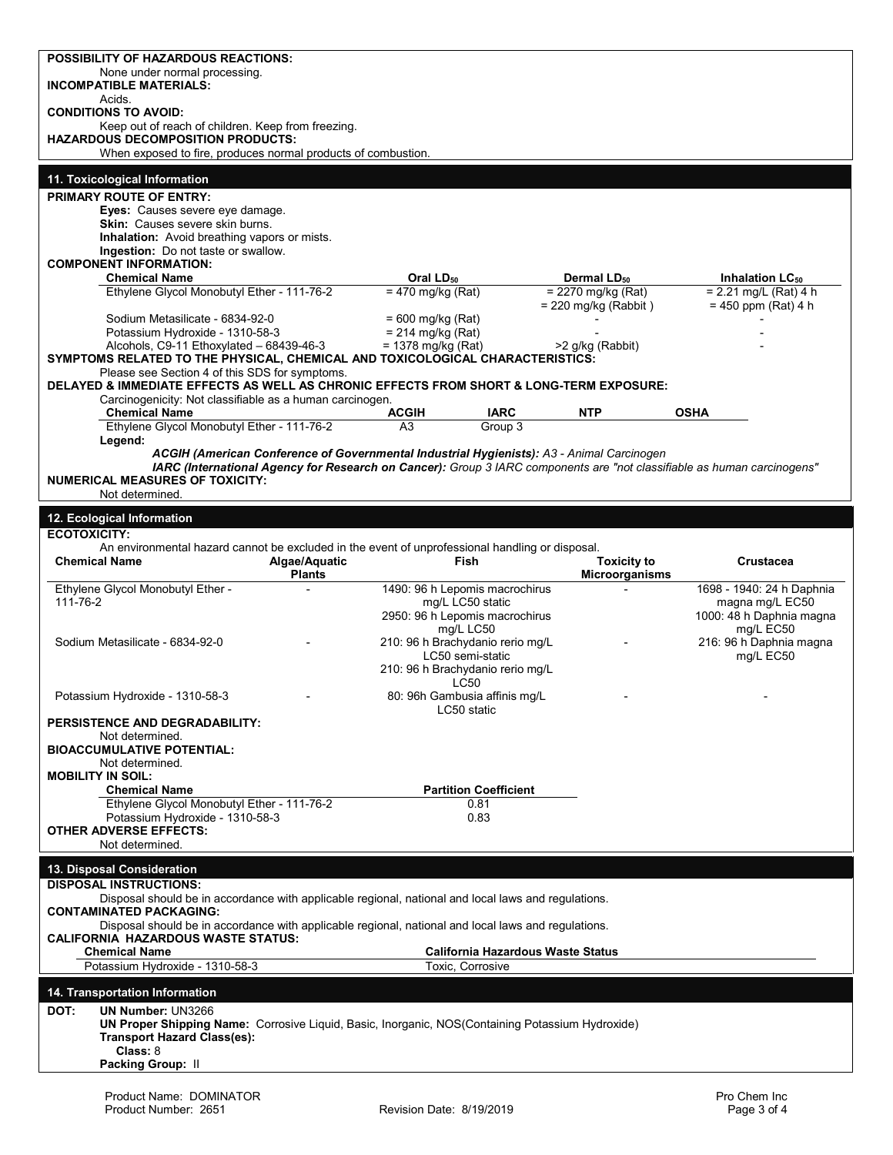| None under normal processing.<br><b>INCOMPATIBLE MATERIALS:</b>                                                                                                                                                      |                                                    |                                                |                                                  |
|----------------------------------------------------------------------------------------------------------------------------------------------------------------------------------------------------------------------|----------------------------------------------------|------------------------------------------------|--------------------------------------------------|
| Acids.<br><b>CONDITIONS TO AVOID:</b>                                                                                                                                                                                |                                                    |                                                |                                                  |
| Keep out of reach of children. Keep from freezing.<br><b>HAZARDOUS DECOMPOSITION PRODUCTS:</b>                                                                                                                       |                                                    |                                                |                                                  |
| When exposed to fire, produces normal products of combustion.                                                                                                                                                        |                                                    |                                                |                                                  |
| 11. Toxicological Information                                                                                                                                                                                        |                                                    |                                                |                                                  |
| <b>PRIMARY ROUTE OF ENTRY:</b>                                                                                                                                                                                       |                                                    |                                                |                                                  |
| Eyes: Causes severe eye damage.<br><b>Skin:</b> Causes severe skin burns.                                                                                                                                            |                                                    |                                                |                                                  |
| <b>Inhalation:</b> Avoid breathing vapors or mists.                                                                                                                                                                  |                                                    |                                                |                                                  |
| Ingestion: Do not taste or swallow.<br><b>COMPONENT INFORMATION:</b>                                                                                                                                                 |                                                    |                                                |                                                  |
| <b>Chemical Name</b>                                                                                                                                                                                                 | Oral LD <sub>50</sub>                              | Dermal LD <sub>50</sub>                        | Inhalation LC <sub>50</sub>                      |
| Ethylene Glycol Monobutyl Ether - 111-76-2                                                                                                                                                                           | $= 470$ mg/kg (Rat)                                | $= 2270$ mg/kg (Rat)<br>$= 220$ mg/kg (Rabbit) | $= 2.21$ mg/L (Rat) 4 h<br>$= 450$ ppm (Rat) 4 h |
| Sodium Metasilicate - 6834-92-0                                                                                                                                                                                      | $= 600$ mg/kg (Rat)                                |                                                |                                                  |
| Potassium Hydroxide - 1310-58-3<br>Alcohols, C9-11 Ethoxylated - 68439-46-3                                                                                                                                          | $= 214$ mg/kg (Rat)<br>$= 1378$ mg/kg (Rat)        | >2 g/kg (Rabbit)                               |                                                  |
| SYMPTOMS RELATED TO THE PHYSICAL, CHEMICAL AND TOXICOLOGICAL CHARACTERISTICS:                                                                                                                                        |                                                    |                                                |                                                  |
| Please see Section 4 of this SDS for symptoms.<br>DELAYED & IMMEDIATE EFFECTS AS WELL AS CHRONIC EFFECTS FROM SHORT & LONG-TERM EXPOSURE:                                                                            |                                                    |                                                |                                                  |
| Carcinogenicity: Not classifiable as a human carcinogen.                                                                                                                                                             |                                                    |                                                |                                                  |
| <b>Chemical Name</b><br>Ethylene Glycol Monobutyl Ether - 111-76-2                                                                                                                                                   | ACGIH<br><b>IARC</b><br>A3<br>Group 3              | <b>NTP</b>                                     | <b>OSHA</b>                                      |
| Legend:                                                                                                                                                                                                              |                                                    |                                                |                                                  |
| ACGIH (American Conference of Governmental Industrial Hygienists): A3 - Animal Carcinogen<br>IARC (International Agency for Research on Cancer): Group 3 IARC components are "not classifiable as human carcinogens" |                                                    |                                                |                                                  |
| <b>NUMERICAL MEASURES OF TOXICITY:</b>                                                                                                                                                                               |                                                    |                                                |                                                  |
| Not determined.                                                                                                                                                                                                      |                                                    |                                                |                                                  |
| 12. Ecological Information                                                                                                                                                                                           |                                                    |                                                |                                                  |
| <b>ECOTOXICITY:</b><br>An environmental hazard cannot be excluded in the event of unprofessional handling or disposal.                                                                                               |                                                    |                                                |                                                  |
| <b>Chemical Name</b><br>Algae/Aquatic                                                                                                                                                                                | <b>Fish</b>                                        | <b>Toxicity to</b>                             | Crustacea                                        |
|                                                                                                                                                                                                                      |                                                    |                                                |                                                  |
| <b>Plants</b>                                                                                                                                                                                                        |                                                    | Microorganisms                                 |                                                  |
| Ethylene Glycol Monobutyl Ether -<br>111-76-2                                                                                                                                                                        | 1490: 96 h Lepomis macrochirus<br>mg/L LC50 static |                                                | 1698 - 1940: 24 h Daphnia<br>magna mg/L EC50     |
|                                                                                                                                                                                                                      | 2950: 96 h Lepomis macrochirus                     |                                                | 1000: 48 h Daphnia magna                         |
| Sodium Metasilicate - 6834-92-0                                                                                                                                                                                      | mg/L LC50<br>210: 96 h Brachydanio rerio mg/L      |                                                | mg/L EC50<br>216: 96 h Daphnia magna             |
|                                                                                                                                                                                                                      | LC50 semi-static                                   |                                                | mg/L EC50                                        |
|                                                                                                                                                                                                                      | 210: 96 h Brachydanio rerio mg/L<br><b>LC50</b>    |                                                |                                                  |
| Potassium Hydroxide - 1310-58-3                                                                                                                                                                                      | 80: 96h Gambusia affinis mg/L                      |                                                |                                                  |
| PERSISTENCE AND DEGRADABILITY:                                                                                                                                                                                       | LC50 static                                        |                                                |                                                  |
| Not determined.                                                                                                                                                                                                      |                                                    |                                                |                                                  |
| <b>BIOACCUMULATIVE POTENTIAL:</b><br>Not determined.                                                                                                                                                                 |                                                    |                                                |                                                  |
| <b>MOBILITY IN SOIL:</b>                                                                                                                                                                                             |                                                    |                                                |                                                  |
| <b>Chemical Name</b><br>Ethylene Glycol Monobutyl Ether - 111-76-2                                                                                                                                                   | <b>Partition Coefficient</b><br>0.81               |                                                |                                                  |
| Potassium Hydroxide - 1310-58-3                                                                                                                                                                                      | 0.83                                               |                                                |                                                  |
| <b>OTHER ADVERSE EFFECTS:</b><br>Not determined.                                                                                                                                                                     |                                                    |                                                |                                                  |
|                                                                                                                                                                                                                      |                                                    |                                                |                                                  |
| 13. Disposal Consideration<br><b>DISPOSAL INSTRUCTIONS:</b>                                                                                                                                                          |                                                    |                                                |                                                  |
| Disposal should be in accordance with applicable regional, national and local laws and regulations.<br><b>CONTAMINATED PACKAGING:</b>                                                                                |                                                    |                                                |                                                  |
| Disposal should be in accordance with applicable regional, national and local laws and regulations.                                                                                                                  |                                                    |                                                |                                                  |
| <b>CALIFORNIA HAZARDOUS WASTE STATUS:</b><br><b>Chemical Name</b>                                                                                                                                                    |                                                    | <b>California Hazardous Waste Status</b>       |                                                  |
| Potassium Hydroxide - 1310-58-3                                                                                                                                                                                      | Toxic, Corrosive                                   |                                                |                                                  |
|                                                                                                                                                                                                                      |                                                    |                                                |                                                  |
| 14. Transportation Information<br>DOT:<br><b>UN Number: UN3266</b>                                                                                                                                                   |                                                    |                                                |                                                  |
| UN Proper Shipping Name: Corrosive Liquid, Basic, Inorganic, NOS(Containing Potassium Hydroxide)                                                                                                                     |                                                    |                                                |                                                  |
| <b>Transport Hazard Class(es):</b><br>Class: 8                                                                                                                                                                       |                                                    |                                                |                                                  |
| Packing Group: II                                                                                                                                                                                                    |                                                    |                                                |                                                  |